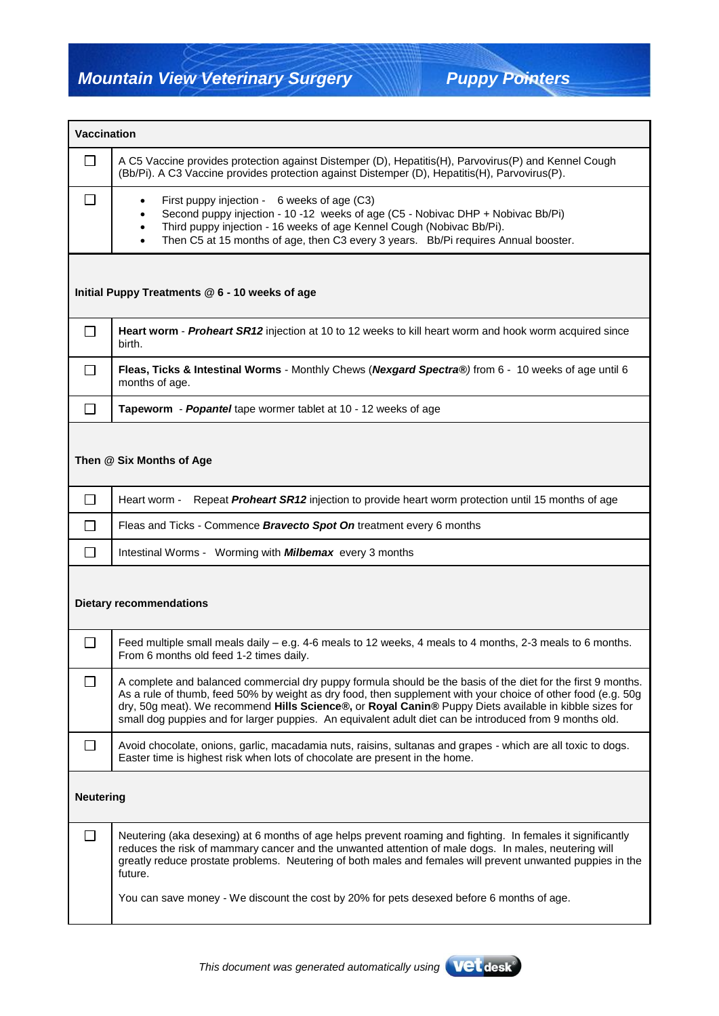| <b>Vaccination</b>                             |                                                                                                                                                                                                                                                                                                                                                                                                                                                   |  |
|------------------------------------------------|---------------------------------------------------------------------------------------------------------------------------------------------------------------------------------------------------------------------------------------------------------------------------------------------------------------------------------------------------------------------------------------------------------------------------------------------------|--|
| П                                              | A C5 Vaccine provides protection against Distemper (D), Hepatitis(H), Parvovirus(P) and Kennel Cough<br>(Bb/Pi). A C3 Vaccine provides protection against Distemper (D), Hepatitis(H), Parvovirus(P).                                                                                                                                                                                                                                             |  |
| $\mathbf{L}$                                   | First puppy injection - 6 weeks of age (C3)<br>$\bullet$<br>Second puppy injection - 10 -12 weeks of age (C5 - Nobivac DHP + Nobivac Bb/Pi)<br>$\bullet$<br>Third puppy injection - 16 weeks of age Kennel Cough (Nobivac Bb/Pi).<br>$\bullet$<br>Then C5 at 15 months of age, then C3 every 3 years. Bb/Pi requires Annual booster.<br>$\bullet$                                                                                                 |  |
| Initial Puppy Treatments @ 6 - 10 weeks of age |                                                                                                                                                                                                                                                                                                                                                                                                                                                   |  |
| $\Box$                                         | Heart worm - Proheart SR12 injection at 10 to 12 weeks to kill heart worm and hook worm acquired since<br>birth.                                                                                                                                                                                                                                                                                                                                  |  |
| $\perp$                                        | Fleas, Ticks & Intestinal Worms - Monthly Chews (Nexgard Spectra®) from 6 - 10 weeks of age until 6<br>months of age.                                                                                                                                                                                                                                                                                                                             |  |
| $\perp$                                        | Tapeworm - Popantel tape wormer tablet at 10 - 12 weeks of age                                                                                                                                                                                                                                                                                                                                                                                    |  |
| Then @ Six Months of Age                       |                                                                                                                                                                                                                                                                                                                                                                                                                                                   |  |
| $\Box$                                         | Repeat Proheart SR12 injection to provide heart worm protection until 15 months of age<br>Heart worm -                                                                                                                                                                                                                                                                                                                                            |  |
| $\mathcal{L}$                                  | Fleas and Ticks - Commence Bravecto Spot On treatment every 6 months                                                                                                                                                                                                                                                                                                                                                                              |  |
| $\mathsf{L}$                                   | Intestinal Worms - Worming with <b>Milbemax</b> every 3 months                                                                                                                                                                                                                                                                                                                                                                                    |  |
| <b>Dietary recommendations</b>                 |                                                                                                                                                                                                                                                                                                                                                                                                                                                   |  |
| $\Box$                                         | Feed multiple small meals daily - e.g. 4-6 meals to 12 weeks, 4 meals to 4 months, 2-3 meals to 6 months.<br>From 6 months old feed 1-2 times daily.                                                                                                                                                                                                                                                                                              |  |
|                                                | A complete and balanced commercial dry puppy formula should be the basis of the diet for the first 9 months.<br>As a rule of thumb, feed 50% by weight as dry food, then supplement with your choice of other food (e.g. 50g<br>dry, 50g meat). We recommend Hills Science®, or Royal Canin® Puppy Diets available in kibble sizes for<br>small dog puppies and for larger puppies. An equivalent adult diet can be introduced from 9 months old. |  |
| П                                              | Avoid chocolate, onions, garlic, macadamia nuts, raisins, sultanas and grapes - which are all toxic to dogs.<br>Easter time is highest risk when lots of chocolate are present in the home.                                                                                                                                                                                                                                                       |  |
| <b>Neutering</b>                               |                                                                                                                                                                                                                                                                                                                                                                                                                                                   |  |
| $\overline{\phantom{0}}$                       | Neutering (aka desexing) at 6 months of age helps prevent roaming and fighting. In females it significantly<br>reduces the risk of mammary cancer and the unwanted attention of male dogs. In males, neutering will<br>greatly reduce prostate problems. Neutering of both males and females will prevent unwanted puppies in the<br>future.<br>You can save money - We discount the cost by 20% for pets desexed before 6 months of age.         |  |